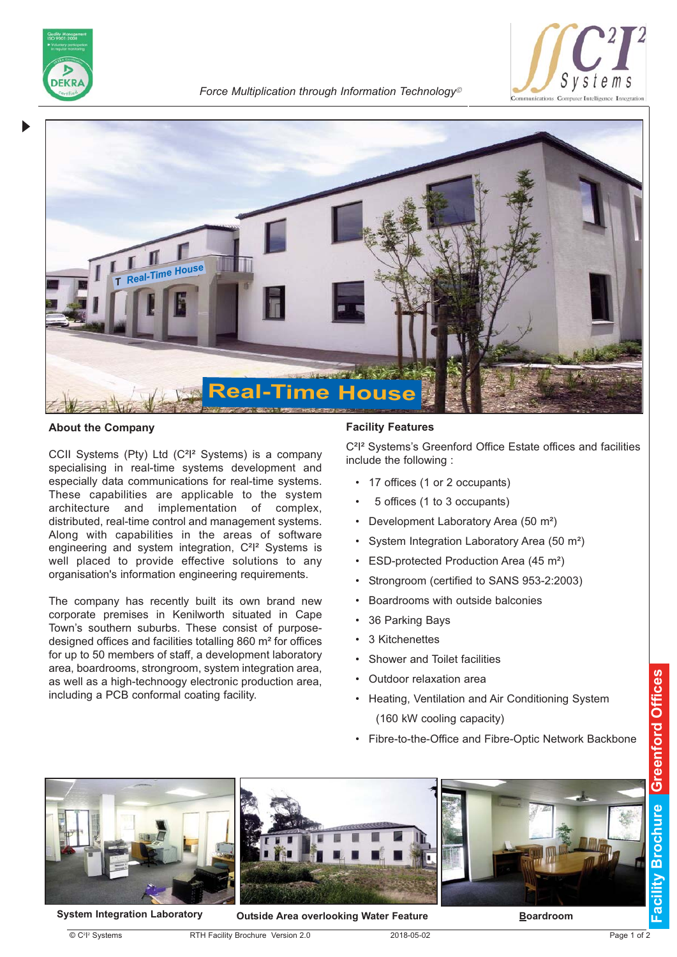

*Force Multiplication through Information Technology*<sup>ã</sup>





### **About the Company**

CCII Systems (Pty) Ltd (C²I² Systems) is a company specialising in real-time systems development and especially data communications for real-time systems. These capabilities are applicable to the system architecture and implementation of complex, distributed, real-time control and management systems. Along with capabilities in the areas of software engineering and system integration, C<sup>2</sup>l<sup>2</sup> Systems is well placed to provide effective solutions to any organisation's information engineering requirements.

The company has recently built its own brand new corporate premises in Kenilworth situated in Cape Town's southern suburbs. These consist of purposedesigned offices and facilities totalling 860 m² for offices for up to 50 members of staff, a development laboratory area, boardrooms, strongroom, system integration area, as well as a high-technoogy electronic production area, including a PCB conformal coating facility.

### **Facility Features**

C²I² Systems's Greenford Office Estate offices and facilities include the following :

- 17 offices (1 or 2 occupants)
- 5 offices (1 to 3 occupants)
- Development Laboratory Area (50 m²)
- System Integration Laboratory Area (50 m²)
- ESD-protected Production Area (45 m<sup>2</sup>)
- Strongroom (certified to SANS 953-2:2003)
- Boardrooms with outside balconies
- 36 Parking Bays
- 3 Kitchenettes
- Shower and Toilet facilities
- Outdoor relaxation area
- Heating, Ventilation and Air Conditioning System (160 kW cooling capacity)
- Fibre-to-the-Office and Fibre-Optic Network Backbone



**System Integration Laboratory Outside Area overlooking Water Feature**

 $\circledcirc$  C $^2$ l